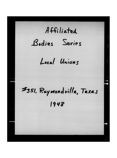Affiliated Bodies Series Local Unions

## Issi. Raymondville, Texas 1948